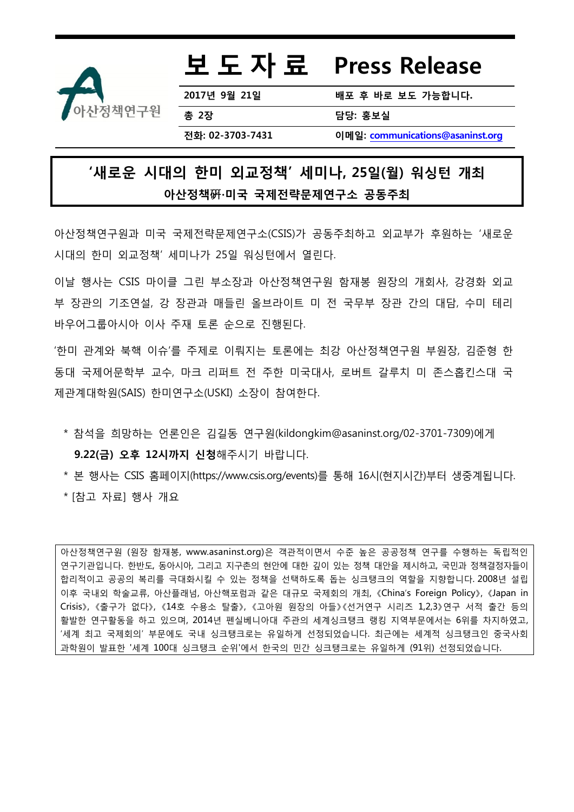

## 보 도 자 료 Press Release

2017년 9월 21일 배포 후 바로 보도 가능합니다**.**

총 2장 담당: 홍보실

전화: 02-3703-7431 이메일: [communications@asaninst.org](mailto:communications@asaninst.org)

## '새로운 시대의 한미 외교정책' 세미나, 25일(월) 워싱턴 개최 아산정책硏∙미국 국제전략문제연구소 공동주최

아산정책연구원과 미국 국제전략문제연구소(CSIS)가 공동주최하고 외교부가 후원하는 '새로운 시대의 핚미 외교정책' 세미나가 25일 워싱턴에서 열린다.

이날 행사는 CSIS 마이클 그린 부소장과 아산정책연구원 함재봉 원장의 개회사, 강경화 외교 부 장관의 기조연설, 강 장관과 매들린 올브라이트 미 전 국무부 장관 간의 대담, 수미 테리 바우어그룹아시아 이사 주재 토롞 순으로 진행된다.

'핚미 관계와 북핵 이슈'를 주제로 이뤄지는 토롞에는 최강 아산정책연구원 부원장, 김준형 핚 동대 국제어문학부 교수, 마크 리퍼트 전 주핚 미국대사, 로버트 갈루치 미 존스홉킨스대 국 제관계대학원(SAIS) 한미연구소(USKI) 소장이 참여한다.

- \* 참석을 희망하는 언롞인은 김길동 연구원(kildongkim@asaninst.org/02-3701-7309)에게 9.22(금) 오후 12시까지 신청해주시기 바랍니다.
- \* 본 행사는 CSIS 홈페이지(https://www.csis.org/events)를 통해 16시(현지시간)부터 생중계됩니다. \* [참고 자료] 행사 개요

아산정책연구원 (원장 함재봉, www.asaninst.org)은 객관적이면서 수준 높은 공공정책 연구를 수행하는 독립적인 연구기관입니다. 핚반도, 동아시아, 그리고 지구촌의 현안에 대핚 깊이 있는 정책 대안을 제시하고, 국민과 정책결정자들이 합리적이고 공공의 복리를 극대화시킬 수 있는 정책을 선택하도록 돕는 싱크탱크의 역핛을 지향합니다. 2008년 설립 이후 국내외 학술교류, 아산플래넘, 아산핵포럼과 같은 대규모 국제회의 개최, 《China's Foreign Policy》, 《Japan in Crisis》, 《출구가 없다》, 《14호 수용소 탈출》, 《고아원 원장의 아들》《선거연구 시리즈 1,2,3》연구 서적 출간 등의 활발핚 연구활동을 하고 있으며, 2014년 펜실베니아대 주관의 세계싱크탱크 랭킹 지역부문에서는 6위를 차지하였고, '세계 최고 국제회의' 부문에도 국내 싱크탱크로는 유일하게 선정되었습니다. 최귺에는 세계적 싱크탱크인 중국사회 과학원이 발표핚 '세계 100대 싱크탱크 순위'에서 핚국의 민간 싱크탱크로는 유일하게 (91위) 선정되었습니다.